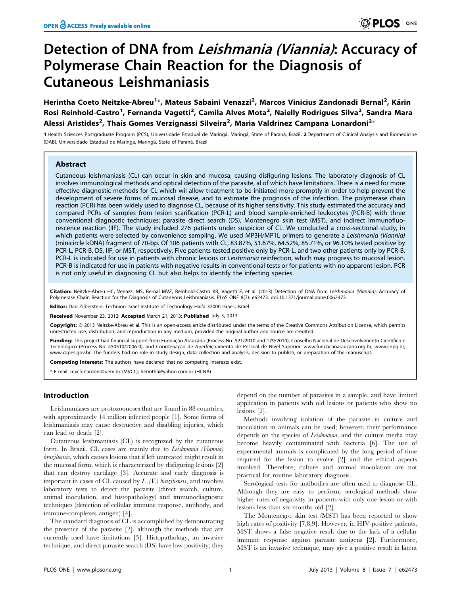# Detection of DNA from Leishmania (Viannia): Accuracy of Polymerase Chain Reaction for the Diagnosis of Cutaneous Leishmaniasis

Herintha Coeto Neitzke-Abreu<sup>1</sup>\*, Mateus Sabaini Venazzi<sup>2</sup>, Marcos Vinicius Zandonadi Bernal<sup>2</sup>, Kárin Rosi Reinhold-Castro<sup>1</sup>, Fernanda Vagetti<sup>2</sup>, Camila Alves Mota<sup>2</sup>, Naielly Rodrigues Silva<sup>2</sup>, Sandra Mara Alessi Aristides<sup>2</sup>, Thaís Gomes Verzignassi Silveira<sup>2</sup>, Maria Valdrinez Campana Lonardoni<sup>2</sup>\*

1 Health Sciences Postgraduate Program (PCS), Universidade Estadual de Maringá, Maringá, State of Paraná, Brazil, 2 Department of Clinical Analysis and Biomedicine (DAB), Universidade Estadual de Maringá, Maringá, State of Paraná, Brazil

## Abstract

Cutaneous leishmaniasis (CL) can occur in skin and mucosa, causing disfiguring lesions. The laboratory diagnosis of CL involves immunological methods and optical detection of the parasite, al of which have limitations. There is a need for more effective diagnostic methods for CL which wil allow treatment to be initiated more promptly in order to help prevent the development of severe forms of mucosal disease, and to estimate the prognosis of the infection. The polymerase chain reaction (PCR) has been widely used to diagnose CL, because of its higher sensitivity. This study estimated the accuracy and compared PCRs of samples from lesion scarification (PCR-L) and blood sample-enriched leukocytes (PCR-B) with three conventional diagnostic techniques: parasite direct search (DS), Montenegro skin test (MST), and indirect immunofluorescence reaction (IIF). The study included 276 patients under suspicion of CL. We conducted a cross-sectional study, in which patients were selected by convenience sampling. We used MP3H/MP1L primers to generate a Leishmania (Viannia) (minicircle kDNA) fragment of 70-bp. Of 106 patients with CL, 83.87%, 51.67%, 64.52%, 85.71%, or 96.10% tested positive by PCR-L, PCR-B, DS, IIF, or MST, respectively. Five patients tested positive only by PCR-L, and two other patients only by PCR-B. PCR-L is indicated for use in patients with chronic lesions or Leishmania reinfection, which may progress to mucosal lesion. PCR-B is indicated for use in patients with negative results in conventional tests or for patients with no apparent lesion. PCR is not only useful in diagnosing CL but also helps to identify the infecting species.

Citation: Neitzke-Abreu HC, Venazzi MS, Bernal MVZ, Reinhold-Castro KR, Vagetti F, et al. (2013) Detection of DNA from Leishmania (Viannia): Accuracy of Polymerase Chain Reaction for the Diagnosis of Cutaneous Leishmaniasis. PLoS ONE 8(7): e62473. doi:10.1371/journal.pone.0062473

Editor: Dan Zilberstein, Technion-Israel Institute of Technology Haifa 32000 Israel., Israel

Received November 23, 2012; Accepted March 21, 2013; Published July 5, 2013

Copyright: © 2013 Neitzke-Abreu et al. This is an open-access article distributed under the terms of the Creative Commons Attribution License, which permits unrestricted use, distribution, and reproduction in any medium, provided the original author and source are credited.

Funding: This project had financial support from Fundação Araucária (Process No. 521/2010 and 179/2010), Conselho Nacional de Desenvolvimento Científico e Tecnológico (Process No. 450510/2006-0), and Coordenação de Aperfeiçoamento de Pessoal de Nível Superior. www.fundacaoaraucaria.org.br; www.cnpq.br; www.capes.gov.br. The funders had no role in study design, data collection and analysis, decision to publish, or preparation of the manuscript.

Competing Interests: The authors have declared that no competing interests exist.

\* E-mail: mvclonardoni@uem.br (MVCL); herintha@yahoo.com.br (HCNA)

# Introduction

Leishmaniases are protozoonoses that are found in 88 countries, with approximately 14 million infected people [1]. Some forms of leishmaniasis may cause destructive and disabling injuries, which can lead to death [2].

Cutaneous leishmaniasis (CL) is recognized by the cutaneous form. In Brazil, CL cases are mainly due to Leishmania (Viannia) braziliensis, which causes lesions that if left untreated might result in the mucosal form, which is characterized by disfiguring lesions [2] that can destroy cartilage [3]. Accurate and early diagnosis is important in cases of CL caused by  $L$ . (V.) braziliensis, and involves laboratory tests to detect the parasite (direct search, culture, animal inoculation, and histopathology) and immunodiagnostic techniques (detection of cellular immune response, antibody, and immune-complexes antigen) [4].

The standard diagnosis of CL is accomplished by demonstrating the presence of the parasite [2], although the methods that are currently used have limitations [5]. Histopathology, an invasive technique, and direct parasite search (DS) have low positivity; they depend on the number of parasites in a sample, and have limited application in patients with old lesions or patients who show no lesions [2].

Methods involving isolation of the parasite in culture and inoculation in animals can be used; however, their performance depends on the species of Leishmania, and the culture media may become heavily contaminated with bacteria [6]. The use of experimental animals is complicated by the long period of time required for the lesion to evolve [2] and the ethical aspects involved. Therefore, culture and animal inoculation are not practical for routine laboratory diagnosis.

Serological tests for antibodies are often used to diagnose CL. Although they are easy to perform, serological methods show higher rates of negativity in patients with only one lesion or with lesions less than six months old [2].

The Montenegro skin test (MST) has been reported to show high rates of positivity [7,8,9]. However, in HIV-positive patients, MST shows a false negative result due to the lack of a cellular immune response against parasite antigens [2]. Furthermore, MST is an invasive technique, may give a positive result in latent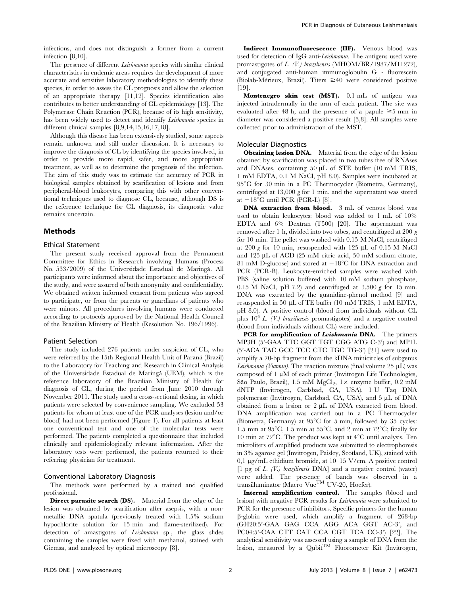infections, and does not distinguish a former from a current infection [8,10].

The presence of different Leishmania species with similar clinical characteristics in endemic areas requires the development of more accurate and sensitive laboratory methodologies to identify these species, in order to assess the CL prognosis and allow the selection of an appropriate therapy [11,12]. Species identification also contributes to better understanding of CL epidemiology [13]. The Polymerase Chain Reaction (PCR), because of its high sensitivity, has been widely used to detect and identify Leishmania species in different clinical samples [8,9,14,15,16,17,18].

Although this disease has been extensively studied, some aspects remain unknown and still under discussion. It is necessary to improve the diagnosis of CL by identifying the species involved, in order to provide more rapid, safer, and more appropriate treatment, as well as to determine the prognosis of the infection. The aim of this study was to estimate the accuracy of PCR in biological samples obtained by scarification of lesions and from peripheral-blood leukocytes, comparing this with other conventional techniques used to diagnose CL, because, although DS is the reference technique for CL diagnosis, its diagnostic value remains uncertain.

### Methods

#### Ethical Statement

The present study received approval from the Permanent Committee for Ethics in Research involving Humans (Process No. 533/2009) of the Universidade Estadual de Maringa´. All participants were informed about the importance and objectives of the study, and were assured of both anonymity and confidentiality. We obtained written informed consent from patients who agreed to participate, or from the parents or guardians of patients who were minors. All procedures involving humans were conducted according to protocols approved by the National Health Council of the Brazilian Ministry of Health (Resolution No. 196/1996).

#### Patient Selection

The study included 276 patients under suspicion of CL, who were referred by the 15th Regional Health Unit of Paraná (Brazil) to the Laboratory for Teaching and Research in Clinical Analysis of the Universidade Estadual de Maringa´ (UEM), which is the reference laboratory of the Brazilian Ministry of Health for diagnosis of CL, during the period from June 2010 through November 2011. The study used a cross-sectional desing, in which patients were selected by convenience sampling. We excluded 53 patients for whom at least one of the PCR analyses (lesion and/or blood) had not been performed (Figure 1). For all patients at least one conventional test and one of the molecular tests were performed. The patients completed a questionnaire that included clinically and epidemiologically relevant information. After the laboratory tests were performed, the patients returned to their referring physician for treatment.

# Conventional Laboratory Diagnosis

The methods were performed by a trained and qualified professional.

Direct parasite search (DS). Material from the edge of the lesion was obtained by scarification after asepsis, with a nonmetallic DNA spatula (previously treated with 1.5% sodium hypochlorite solution for 15 min and flame-sterilized). For detection of amastigotes of Leishmania sp., the glass slides containing the samples were fixed with methanol, stained with Giemsa, and analyzed by optical microscopy [8].

Indirect Immunofluorescence (IIF). Venous blood was used for detection of IgG anti-Leishmania. The antigens used were promastigotes of L. (V.) braziliensis (MHOM/BR/1987/M11272), and conjugated anti-human immunoglobulin G - fluorescein (Biolab-Mérieux, Brazil). Titers  $\geq 40$  were considered positive [19].

Montenegro skin test (MST). 0.1 mL of antigen was injected intradermally in the arm of each patient. The site was evaluated after 48 h, and the presence of a papule  $\geq$ 5 mm in diameter was considered a positive result [3,8]. All samples were collected prior to administration of the MST.

#### Molecular Diagnostics

Obtaining lesion DNA. Material from the edge of the lesion obtained by scarification was placed in two tubes free of RNAses and DNAses, containing  $50 \mu L$  of STE buffer (10 mM TRIS, 1 mM EDTA, 0.1 M NaCl, pH 8.0). Samples were incubated at  $95^{\circ}$ C for 30 min in a PC Thermocycler (Biometra, Germany), centrifuged at 13,000  $g$  for 1 min, and the supernatant was stored at  $-18^{\circ}$ C until PCR (PCR-L) [8].

DNA extraction from blood. 3 mL of venous blood was used to obtain leukocytes: blood was added to 1 mL of 10% EDTA and 6% Dextran (T500) [20]. The supernatant was removed after 1 h, divided into two tubes, and centrifuged at 200 g for 10 min. The pellet was washed with 0.15 M NaCl, centrifuged at 200 g for 10 min, resuspended with 125  $\mu$ L of 0.15 M NaCl and 125 µL of ACD (25 mM citric acid, 50 mM sodium citrate, 81 mM D-glucose) and stored at  $-18^{\circ}$ C for DNA extraction and PCR (PCR-B). Leukocyte-enriched samples were washed with PBS (saline solution buffered with 10 mM sodium phosphate, 0.15 M NaCl, pH 7.2) and centrifuged at  $3,500 g$  for 15 min. DNA was extracted by the guanidine-phenol method [9] and resuspended in 50 mL of TE buffer (10 mM TRIS, 1 mM EDTA, pH 8.0). A positive control (blood from individuals without CL plus  $10^4$  L. (V.) braziliensis promastigotes) and a negative control (blood from individuals without CL) were included.

PCR for amplification of Leishmania DNA. The primers MP3H (5'-GAA TTC GGT TGT CGG ATG C-3') and MP1L (5'-ACA TAC GCC TCC CTC TGC TG-3') [21] were used to amplify a 70-bp fragment from the kDNA minicircles of subgenus *Leishmania (Viannia)*. The reaction mixture (final volume  $25 \mu L$ ) was composed of  $1 \mu M$  of each primer (Invitrogen Life Technologies, São Paulo, Brazil), 1.5 mM  $MgCl_2$ , 1 $\times$  enzyme buffer, 0.2 mM dNTP (Invitrogen, Carlsbad, CA, USA), 1 U Taq DNA polymerase (Invitrogen, Carlsbad, CA, USA), and 5 µL of DNA obtained from a lesion or  $2 \mu L$  of DNA extracted from blood. DNA amplification was carried out in a PC Thermocycler (Biometra, Germany) at  $95^{\circ}$ C for 5 min, followed by 35 cycles: 1.5 min at  $95^{\circ}$ C, 1.5 min at  $55^{\circ}$ C, and 2 min at  $72^{\circ}$ C; finally for 10 min at  $72^{\circ}$ C. The product was kept at  $4^{\circ}$ C until analysis. Ten microliters of amplified products was submitted to electrophoresis in 3% agarose gel (Invitrogen, Paisley, Scotland, UK), stained with 0,1  $\mu$ g/mL ethidium bromide, at 10–15 V/cm. A positive control [1 pg of  $L$ . (V.) braziliensis DNA] and a negative control (water) were added. The presence of bands was observed in a transilluminator (Macro Vue<sup>TM</sup> UV-20, Hoefer).

Internal amplification control. The samples (blood and lesion) with negative PCR results for Leishmania were submitted to PCR for the presence of inhibitors. Specific primers for the human b-globin were used, which amplify a fragment of 268-bp (GH20:5'-GAA GAG CCA AGG ACA GGT AC-3', and PC04:5'-CAA CTT CAT CCA CGT TCA CC-3') [22]. The analytical sensitivity was assessed using a sample of DNA from the lesion, measured by a Qubit<sup>TM</sup> Fluorometer Kit (Invitrogen,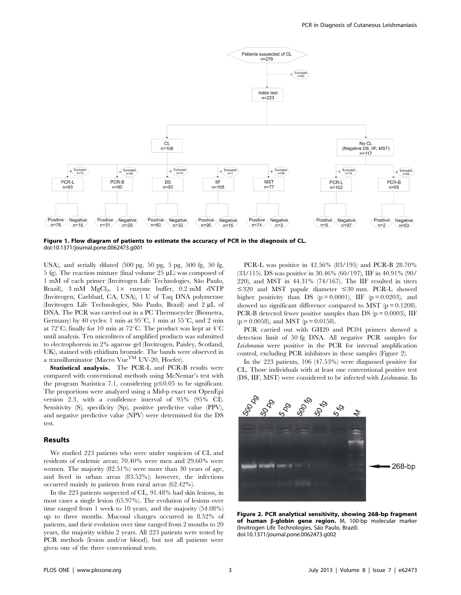

Figure 1. Flow diagram of patients to estimate the accuracy of PCR in the diagnosis of CL. doi:10.1371/journal.pone.0062473.g001

USA), and serially diluted (500 pg, 50 pg, 5 pg, 500 fg, 50 fg, 5 fg). The reaction mixture (final volume  $25 \mu L$ ) was composed of 1 mM of each primer (Invitrogen Life Technologies, São Paulo, Brazil),  $3 \text{ mM } MgCl_2$ ,  $1 \times$  enzyme buffer,  $0.2 \text{ mM } dNTP$ (Invitrogen, Carlsbad, CA, USA), 1 U of Taq DNA polymerase (Invitrogen Life Technologies, São Paulo, Brazil) and 2 µL of DNA. The PCR was carried out in a PC Thermocycler (Biometra, Germany) by 40 cycles: 1 min at  $95^{\circ}$ C, 1 min at  $55^{\circ}$ C, and 2 min at 72 $^{\circ}$ C; finally for 10 min at 72 $^{\circ}$ C. The product was kept at 4 $^{\circ}$ C until analysis. Ten microliters of amplified products was submitted to electrophoresis in 2% agarose gel (Invitrogen, Paisley, Scotland, UK), stained with ethidium bromide. The bands were observed in a transilluminator (Macro Vue<sup>TM</sup> UV-20, Hoefer).

Statistical analysis. The PCR-L and PCR-B results were compared with conventional methods using McNemar's test with the program Statistica 7.1, considering  $p \le 0.05$  to be significant. The proportions were analyzed using a Mid-p exact test OpenEpi version 2.3, with a confidence interval of 95% (95% CI). Sensitivity (S), specificity (Sp), positive predictive value (PPV), and negative predictive value (NPV) were determined for the DS test.

# Results

We studied 223 patients who were under suspicion of CL and residents of endemic areas; 70.40% were men and 29.60% were women. The majority (82.51%) were more than 30 years of age, and lived in urban areas (83.52%); however, the infections occurred mainly in patients from rural areas (62.42%).

In the 223 patients suspected of CL, 91.48% had skin lesions, in most cases a single lesion (65.97%). The evolution of lesions over time ranged from 1 week to 10 years, and the majority (54.08%) up to three months. Mucosal changes occurred in 8.52% of patients, and their evolution over time ranged from 2 months to 20 years, the majority within 2 years. All 223 patients were tested by PCR methods (lesion and/or blood), but not all patients were given one of the three conventional tests.

PCR-L was positive in 42.56% (83/195) and PCR-B 28.70% (33/115). DS was positive in 30.46% (60/197), IIF in 40.91% (90/ 220), and MST in 44.31% (74/167). The IIF resulted in titers  $\leq 320$  and MST papule diameter  $\leq 30$  mm. PCR-L showed higher positivity than DS  $(p = 0.0001)$ , IIF  $(p = 0.0203)$ , and showed no significant difference compared to MST  $(p = 0.1208)$ . PCR-B detected fewer positive samples than DS ( $p = 0.0003$ ), IIF  $(p = 0.0058)$ , and MST  $(p = 0.0158)$ .

PCR carried out with GH20 and PC04 primers showed a detection limit of 50 fg DNA. All negative PCR samples for Leishmania were positive in the PCR for internal amplification control, excluding PCR inhibitors in these samples (Figure 2).

In the 223 patients, 106 (47.53%) were diagnosed positive for CL. Those individuals with at least one conventional positive test (DS, IIF, MST) were considered to be infected with Leishmania. In



Figure 2. PCR analytical sensitivity, showing 268-bp fragment of human  $\beta$ -globin gene region. M, 100-bp molecular marker (Invitrogen Life Technologies, São Paulo, Brazil). doi:10.1371/journal.pone.0062473.g002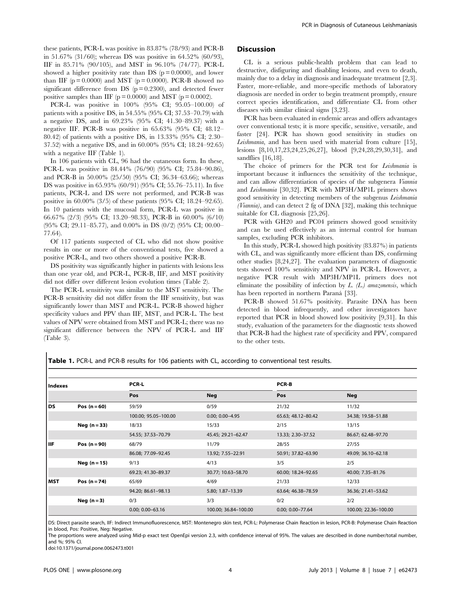these patients, PCR-L was positive in 83.87% (78/93) and PCR-B in 51.67% (31/60); whereas DS was positive in 64.52% (60/93), IIF in 85.71% (90/105), and MST in 96.10% (74/77). PCR-L showed a higher positivity rate than DS ( $p = 0.0000$ ), and lower than IIF  $(p = 0.0000)$  and MST  $(p = 0.0000)$ . PCR-B showed no significant difference from DS  $(p = 0.2300)$ , and detected fewer positive samples than IIF ( $p = 0.0000$ ) and MST ( $p = 0.0002$ ).

PCR-L was positive in 100% (95% CI; 95.05–100.00) of patients with a positive DS, in 54.55% (95% CI; 37.53–70.79) with a negative DS, and in 69.23% (95% CI; 41.30–89.37) with a negative IIF. PCR-B was positive in 65.63% (95% CI; 48.12– 80.42) of patients with a positive DS, in 13.33% (95% CI; 2.30– 37.52) with a negative DS, and in 60.00% (95% CI; 18.24–92.65) with a negative IIF (Table 1).

In 106 patients with CL, 96 had the cutaneous form. In these, PCR-L was positive in 84.44% (76/90) (95% CI; 75.84–90.86), and PCR-B in 50.00% (25/50) (95% CI; 36.34–63.66); whereas DS was positive in 65.93% (60/91) (95% CI; 55.76–75.11). In five patients, PCR-L and DS were not performed, and PCR-B was positive in 60.00% (3/5) of these patients (95% CI; 18.24–92.65). In 10 patients with the mucosal form, PCR-L was positive in 66.67% (2/3) (95% CI; 13.20–98.33), PCR-B in 60.00% (6/10) (95% CI; 29.11–85.77), and 0.00% in DS (0/2) (95% CI; 00.00– 77.64).

Of 117 patients suspected of CL who did not show positive results in one or more of the conventional tests, five showed a positive PCR-L, and two others showed a positive PCR-B.

DS positivity was significantly higher in patients with lesions less than one year old, and PCR-L, PCR-B, IIF, and MST positivity did not differ over different lesion evolution times (Table 2).

The PCR-L sensitivity was similar to the MST sensitivity. The PCR-B sensitivity did not differ from the IIF sensitivity, but was significantly lower than MST and PCR-L. PCR-B showed higher specificity values and PPV than IIF, MST, and PCR-L. The best values of NPV were obtained from MST and PCR-L; there was no significant difference between the NPV of PCR-L and IIF (Table 3).

# **Discussion**

CL is a serious public-health problem that can lead to destructive, disfiguring and disabling lesions, and even to death, mainly due to a delay in diagnosis and inadequate treatment [2,3]. Faster, more-reliable, and more-specific methods of laboratory diagnosis are needed in order to begin treatment promptly, ensure correct species identification, and differentiate CL from other diseases with similar clinical signs [3,23].

PCR has been evaluated in endemic areas and offers advantages over conventional tests; it is more specific, sensitive, versatile, and faster [24]. PCR has shown good sensitivity in studies on Leishmania, and has been used with material from culture [15], lesions [8,10,17,23,24,25,26,27], blood [9,24,28,29,30,31], and sandflies [16,18].

The choice of primers for the PCR test for *Leishmania* is important because it influences the sensitivity of the technique, and can allow differentiation of species of the subgenera Viannia and Leishmania [30,32]. PCR with MP3H/MP1L primers shows good sensitivity in detecting members of the subgenus Leishmania (Viannia), and can detect 2 fg of DNA [32], making this technique suitable for CL diagnosis [25,26].

PCR with GH20 and PC04 primers showed good sensitivity and can be used effectively as an internal control for human samples, excluding PCR inhibitors.

In this study, PCR-L showed high positivity (83.87%) in patients with CL, and was significantly more efficient than DS, confirming other studies [8,24,27]. The evaluation parameters of diagnostic tests showed 100% sensitivity and NPV in PCR-L. However, a negative PCR result with MP3H/MP1L primers does not eliminate the possibility of infection by  $L$ . ( $L$ .) amazonensis, which has been reported in northern Paraná [33].

PCR-B showed 51.67% positivity. Parasite DNA has been detected in blood infrequently, and other investigators have reported that PCR in blood showed low positivity [9,31]. In this study, evaluation of the parameters for the diagnostic tests showed that PCR-B had the highest rate of specificity and PPV, compared to the other tests.

Table 1. PCR-L and PCR-B results for 106 patients with CL, according to conventional test results.

| Indexes     |                | <b>PCR-L</b>         |                      | <b>PCR-B</b>         |                      |  |
|-------------|----------------|----------------------|----------------------|----------------------|----------------------|--|
|             |                | Pos                  | <b>Neg</b>           | Pos                  | <b>Neg</b>           |  |
| <b>DS</b>   | Pos $(n=60)$   | 59/59                | 0/59                 | 21/32                | 11/32                |  |
|             |                | 100.00; 95.05-100.00 | $0.00; 0.00 - 4.95$  | 65.63; 48.12-80.42   | 34.38; 19.58-51.88   |  |
|             | Neg $(n=33)$   | 18/33                | 15/33                | 2/15                 | 13/15                |  |
|             |                | 54.55; 37.53-70.79   | 45.45; 29.21-62.47   | 13.33; 2.30-37.52    | 86.67; 62.48-97.70   |  |
| liif        | Pos $(n = 90)$ | 68/79                | 11/79                | 28/55                | 27/55                |  |
|             |                | 86.08; 77.09-92.45   | 13.92; 7.55-22.91    | 50.91; 37.82-63.90   | 49.09; 36.10-62.18   |  |
|             | Neg $(n=15)$   | 9/13                 | 4/13                 | 3/5                  | 2/5                  |  |
|             |                | 69.23; 41.30-89.37   | 30.77; 10.63-58.70   | 60.00; 18.24-92.65   | 40.00; 7.35-81.76    |  |
| <b>IMST</b> | Pos $(n=74)$   | 65/69                | 4/69                 | 21/33                | 12/33                |  |
|             |                | 94.20; 86.61-98.13   | 5.80; 1.87-13.39     | 63.64; 46.38-78.59   | 36.36; 21.41-53.62   |  |
|             | Neg $(n=3)$    | 0/3                  | 3/3                  | 0/2                  | 2/2                  |  |
|             |                | $0.00; 0.00 - 63.16$ | 100.00; 36.84-100.00 | $0.00; 0.00 - 77.64$ | 100.00; 22.36-100.00 |  |

DS: Direct parasite search, IIF: Indirect Immunofluorescence, MST: Montenegro skin test, PCR-L: Polymerase Chain Reaction in lesion, PCR-B: Polymerase Chain Reaction in blood, Pos: Positive, Neg: Negative.

The proportions were analyzed using Mid-p exact test OpenEpi version 2.3, with confidence interval of 95%. The values are described in done number/total number, and %; 95% CI.

doi:10.1371/journal.pone.0062473.t001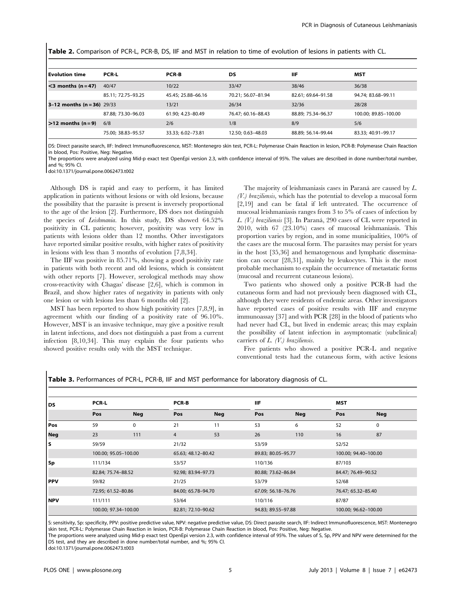| <b>Table 2.</b> Comparison of PCR-L, PCR-B, DS, IIF and MST in relation to time of evolution of lesions in patients with CL. |  |  |  |  |
|------------------------------------------------------------------------------------------------------------------------------|--|--|--|--|
|------------------------------------------------------------------------------------------------------------------------------|--|--|--|--|

| <b>Evolution time</b>        | <b>PCR-L</b>       | <b>PCR-B</b>       | DS                 | ШF                 | MST                  |
|------------------------------|--------------------|--------------------|--------------------|--------------------|----------------------|
| $\leq$ 3 months (n = 47)     | 40/47              | 10/22              | 33/47              | 38/46              | 36/38                |
|                              | 85.11; 72.75-93.25 | 45.45; 25.88-66.16 | 70.21; 56.07-81.94 | 82.61; 69.64-91.58 | 94.74; 83.68-99.11   |
| $3-12$ months (n = 36) 29/33 |                    | 13/21              | 26/34              | 32/36              | 28/28                |
|                              | 87.88: 73.30-96.03 | 61.90: 4.23-80.49  | 76.47: 60.16-88.43 | 88.89: 75.34-96.37 | 100.00: 89.85-100.00 |
| $\geq$ 12 months (n = 9)     | 6/8                | 2/6                | 1/8                | 8/9                | 5/6                  |
|                              | 75.00; 38.83-95.57 | 33.33; 6.02-73.81  | 12.50; 0.63-48.03  | 88.89; 56.14-99.44 | 83.33; 40.91-99.17   |

DS: Direct parasite search, IIF: Indirect Immunofluorescence, MST: Montenegro skin test, PCR-L: Polymerase Chain Reaction in lesion, PCR-B: Polymerase Chain Reaction in blood, Pos: Positive, Neg: Negative.

The proportions were analyzed using Mid-p exact test OpenEpi version 2.3, with confidence interval of 95%. The values are described in done number/total number, and %; 95% CI.

doi:10.1371/journal.pone.0062473.t002

Although DS is rapid and easy to perform, it has limited application in patients without lesions or with old lesions, because the possibility that the parasite is present is inversely proportional to the age of the lesion [2]. Furthermore, DS does not distinguish the species of Leishmania. In this study, DS showed 64.52% positivity in CL patients; however, positivity was very low in patients with lesions older than 12 months. Other investigators have reported similar positive results, with higher rates of positivity in lesions with less than 3 months of evolution [7,8,34].

The IIF was positive in 85.71%, showing a good positivity rate in patients with both recent and old lesions, which is consistent with other reports [7]. However, serological methods may show cross-reactivity with Chagas' disease [2,6], which is common in Brazil, and show higher rates of negativity in patients with only one lesion or with lesions less than 6 months old [2].

MST has been reported to show high positivity rates [7,8,9], in agreement whith our finding of a positivity rate of 96.10%. However, MST is an invasive technique, may give a positive result in latent infections, and does not distinguish a past from a current infection [8,10,34]. This may explain the four patients who showed positive results only with the MST technique.

The majority of leishmaniasis cases in Paraná are caused by  $L$ .  $(V)$  braziliensis, which has the potential to develop a mucosal form [2,19] and can be fatal if left untreated. The occurrence of mucosal leishmaniasis ranges from 3 to 5% of cases of infection by L.  $(V)$  braziliensis [3]. In Paraná, 290 cases of CL were reported in 2010, with 67 (23.10%) cases of mucosal leishmaniasis. This proportion varies by region, and in some municipalities, 100% of the cases are the mucosal form. The parasites may persist for years in the host [35,36] and hematogenous and lymphatic dissemination can occur [28,31], mainly by leukocytes. This is the most probable mechanism to explain the occurrence of metastatic forms (mucosal and recurrent cutaneous lesions).

Two patients who showed only a positive PCR-B had the cutaneous form and had not previously been diagnosed with CL, although they were residents of endemic areas. Other investigators have reported cases of positive results with IIF and enzyme immunoassay [37] and with PCR [28] in the blood of patients who had never had CL, but lived in endemic areas; this may explain the possibility of latent infection in asymptomatic (subclinical) carriers of  $L$ . (V.) braziliensis.

Five patients who showed a positive PCR-L and negative conventional tests had the cutaneous form, with active lesions

Table 3. Performances of PCR-L, PCR-B, IIF and MST performance for laboratory diagnosis of CL.

| l DS  | <b>PCR-L</b>         |             | <b>PCR-B</b> |                    | <b>IIF</b> |                    | <b>MST</b> |                      |  |
|-------|----------------------|-------------|--------------|--------------------|------------|--------------------|------------|----------------------|--|
|       | Pos                  | <b>Neg</b>  | Pos          | <b>Neg</b>         | Pos        | <b>Neg</b>         | Pos        | <b>Neg</b>           |  |
| l Pos | 59                   | $\mathbf 0$ | 21           | 11                 | 53         | 6                  | 52         | 0                    |  |
| Neg   | 23                   | 111         | 4            | 53                 | 26         | 110                | 16         | 87                   |  |
| ١s    | 59/59                |             | 21/32        |                    | 53/59      |                    | 52/52      |                      |  |
|       | 100.00; 95.05-100.00 |             |              | 65.63; 48.12-80.42 |            | 89.83; 80.05-95.77 |            | 100.00; 94.40-100.00 |  |
| l Sp  | 111/134              |             | 53/57        |                    |            | 110/136            |            | 87/103               |  |
|       | 82.84; 75.74-88.52   |             |              | 92.98; 83.94-97.73 |            | 80.88; 73.62-86.84 |            | 84.47; 76.49-90.52   |  |
| l PPV | 59/82                |             | 21/25        |                    |            | 53/79              |            | 52/68                |  |
|       | 72.95; 61.52-80.86   |             |              | 84.00; 65.78-94.70 |            | 67.09; 56.18-76.76 |            | 76.47; 65.32-85.40   |  |
| l NPV | 111/111              |             | 53/64        |                    |            | 110/116            |            | 87/87                |  |
|       | 100.00; 97.34-100.00 |             |              | 82.81; 72.10-90.62 |            | 94.83; 89.55-97.88 |            | 100.00; 96.62-100.00 |  |

S: sensitivity, Sp: specificity, PPV: positive predictive value, NPV: negative predictive value, DS: Direct parasite search, IIF: Indirect Immunofluorescence, MST: Montenegro skin test, PCR-L: Polymerase Chain Reaction in lesion, PCR-B: Polymerase Chain Reaction in blood, Pos: Positive, Neg: Negative.

The proportions were analyzed using Mid-p exact test OpenEpi version 2.3, with confidence interval of 95%. The values of S, Sp, PPV and NPV were determined for the DS test, and they are described in done number/total number, and %; 95% CI.

doi:10.1371/journal.pone.0062473.t003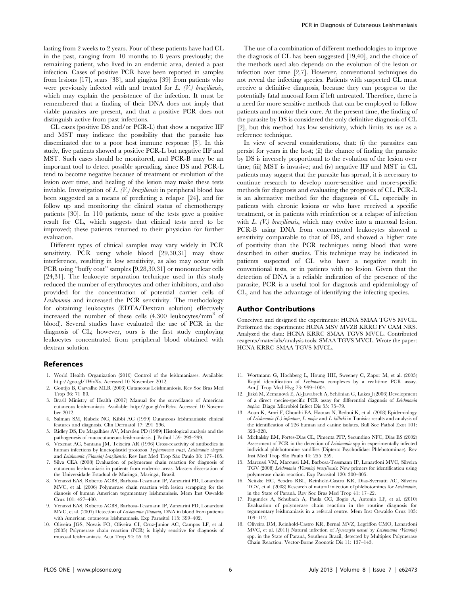lasting from 2 weeks to 2 years. Four of these patients have had CL in the past, ranging from 10 months to 8 years previously; the remaining patient, who lived in an endemic area, denied a past infection. Cases of positive PCR have been reported in samples from lesions [17], scars [38], and gingiva [39] from patients who were previously infected with and treated for  $L$ .  $(V)$  braziliensis, which may explain the persistence of the infection. It must be remembered that a finding of their DNA does not imply that viable parasites are present, and that a positive PCR does not distinguish active from past infections.

CL cases (positive DS and/or PCR-L) that show a negative IIF and MST may indicate the possibility that the parasite has disseminated due to a poor host immune response [3]. In this study, five patients showed a positive PCR-L but negative IIF and MST. Such cases should be monitored, and PCR-B may be an important tool to detect possible spreading, since DS and PCR-L tend to become negative because of treatment or evolution of the lesion over time, and healing of the lesion may make these tests inviable. Investigation of L. (V.) braziliensis in peripheral blood has been suggested as a means of predicting a relapse [24], and for follow up and monitoring the clinical status of chemotherapy patients [30]. In 110 patients, none of the tests gave a positive result for CL, which suggests that clinical tests need to be improved; these patients returned to their physician for further evaluation.

Different types of clinical samples may vary widely in PCR sensitivity. PCR using whole blood [29,30,31] may show interference, resulting in low sensitivity, as also may occur with PCR using ''buffy coat'' samples [9,28,30,31] or mononuclear cells [24,31]. The leukocyte separation technique used in this study reduced the number of erythrocytes and other inhibitors, and also provided for the concentration of potential carrier cells of Leishmania and increased the PCR sensitivity. The methodology for obtaining leukocytes (EDTA/Dextran solution) effectively increased the number of these cells  $(4,300 \text{ leukocytes/mm}^3)$ blood). Several studies have evaluated the use of PCR in the diagnosis of CL; however, ours is the first study employing leukocytes concentrated from peripheral blood obtained with dextran solution.

#### References

- 1. World Health Organization (2010) Control of the leishmaniases. Available: http://goo.gl/1WxXs. Accessed 10 November 2012.
- 2. Gontijo B, Carvalho MLR (2003) Cutaneous Leishmaniosis. Rev Soc Bras Med Trop 36: 71–80.
- 3. Brasil Ministry of Health (2007) Manual for the surveillance of American cutaneous leishmaniasis. Available: http://goo.gl/mPcbz. Accessed 10 November 2012.
- 4. Salman SM, Rubeiz NG, Kibbi AG (1999) Cutaneous leishmaniasis: clinical features and diagnosis. Clin Dermatol 17: 291–296.
- 5. Ridley DS, De Magalhães AV, Marsden PD (1989) Histological analysis and the pathogenesis of mucocutaneous leishmaniasis. J Pathol 159: 293–299.
- Vexenat AC, Santana JM, Teixeira AR (1996) Cross-reactivity of antibodies in human infections by kinetoplastid protozoa Trypanosoma cruzi, Leishmania chagasi and Leishmania (Viannia) braziliensis. Rev Inst Med Trop São Paulo 38: 177-185.
- 7. Silva CEA (2008) Evaluation of polymerase chain reaction for diagnosis of cutaneous leishmaniasis in patients from endemic areas. Masters dissertation of the Universidade Estadual de Maringá, Maringá, Brazil.
- 8. Venazzi EAS, Roberto ACBS, Barbosa-Tessmann IP, Zanzarini PD, Lonardoni MVC, et al. (2006) Polymerase chain reaction with lesion scrapping for the dianosis of human American tegumentary leishmaniasis. Mem Inst Oswaldo Cruz 101: 427–430.
- 9. Venazzi EAS, Roberto ACBS, Barbosa-Tessmann IP, Zanzarini PD, Lonardoni MVC, et al. (2007) Detection of Leishmania (Viannia) DNA in blood from patients with American cutaneous leishmaniasis. Exp Parasitol 115: 399–402.
- 10. Oliveira JGS, Novais FO, Oliveira CI, Cruz-Junior AC, Campos LF, et al. (2005) Polymerase chain reaction (PCR) is highly sensitive for diagnosis of mucosal leishmaniasis. Acta Trop 94: 55–59.

The use of a combination of different methodologies to improve the diagnosis of CL has been suggested [19,40], and the choice of the methods used also depends on the evolution of the lesion or infection over time [2,7]. However, conventional techniques do not reveal the infecting species. Patients with suspected CL must receive a definitive diagnosis, because they can progress to the potentially fatal mucosal form if left untreated. Therefore, there is a need for more sensitive methods that can be employed to follow patients and monitor their cure. At the present time, the finding of the parasite by DS is considered the only definitive diagnosis of CL [2], but this method has low sensitivity, which limits its use as a reference technique.

In view of several considerations, that: (i) the parasites can persist for years in the host; (ii) the chance of finding the parasite by DS is inversely proportional to the evolution of the lesion over time; (iii) MST is invasive; and (iv) negative IIF and MST in CL patients may suggest that the parasite has spread, it is necessary to continue research to develop more-sensitive and more-specific methods for diagnosis and evaluating the prognosis of CL. PCR-L is an alternative method for the diagnosis of CL, especially in patients with chronic lesions or who have received a specific treatment, or in patients with reinfection or a relapse of infection with  $L$ . (V.) braziliensis, which may evolve into a mucosal lesion. PCR-B using DNA from concentrated leukocytes showed a sensitivity comparable to that of DS, and showed a higher rate of positivity than the PCR techniques using blood that were described in other studies. This technique may be indicated in patients suspected of CL who have a negative result in conventional tests, or in patients with no lesion. Given that the detection of DNA is a reliable indication of the presence of the parasite, PCR is a useful tool for diagnosis and epidemiology of CL, and has the advantage of identifying the infecting species.

#### Author Contributions

Conceived and designed the experiments: HCNA SMAA TGVS MVCL. Performed the experiments: HCNA MSV MVZB KRRC FV CAM NRS. Analyzed the data: HCNA KRRC SMAA TGVS MVCL. Contributed reagents/materials/analysis tools: SMAA TGVS MVCL. Wrote the paper: HCNA KRRC SMAA TGVS MVCL.

- 11. Wortmann G, Hochberg L, Houng HH, Sweeney C, Zapor M, et al. (2005) Rapid identification of Leishmania complexes by a real-time PCR assay. Am J Trop Med Hyg 73: 999–1004.
- 12. Jirkù M, Zemanová E, Al-Jawabreh A, Schönian G, Lukes J (2006) Development of a direct species-specific PCR assay for differential diagnosis of Leishmania tropica. Diagn Microbiol Infect Dis 55: 75–79.
- 13. Aoun K, Amri F, Chouihi EA, Haouas N, Bedoui K, et al. (2008) Epidemiology of Leishmania (L.) infantum, L. major and L. killicki in Tunisia: results and analysis of the identification of 226 human and canine isolates. Bull Soc Pathol Exot 101: 323–328.
- 14. Michalsky EM, Fortes-Dias CL, Pimenta PFP, Secundino NFC, Dias ES (2002) Assessment of PCR in the detection of Leishmania spp in experimentally infected individual phlebotomine sandflies (Diptera: Psychodidae: Phlebotominae). Rev Inst Med Trop São Paulo 44: 255-259.
- 15. Marcussi VM, Marcussi LM, Barbosa-Tessmann IP, Lonardoni MVC, Silveira TGV (2008) Leishmania (Viannia) braziliensis: New primers for identification using polymerase chain reaction. Exp Parasitol 120: 300–305.
- 16. Neitzke HC, Scodro RBL, Reinhold-Castro KR, Dias-Sversutti AC, Silveira TGV, et al. (2008) Research of natural infection of phlebotomines for Leishmania, in the State of Parana´. Rev Soc Bras Med Trop 41: 17–22.
- 17. Fagundes A, Schubach A, Paula CC, Bogio A, Antonio LF, et al. (2010) Evaluation of polymerase chain reaction in the routine diagnosis for tegumentary leishmaniasis in a referral centre. Mem Inst Oswaldo Cruz 105: 109–112.
- 18. Oliveira DM, Reinhold-Castro KR, Bernal MVZ, Legriffon CMO, Lonardoni MVC, et al. (2011) Natural infection of Nyssomyia neivai by Leishmania (Viannia) spp. in the State of Paraná, Southern Brazil, detected by Multiplex Polymerase Chain Reaction. Vector-Borne Zoonotic Dis 11: 137–143.